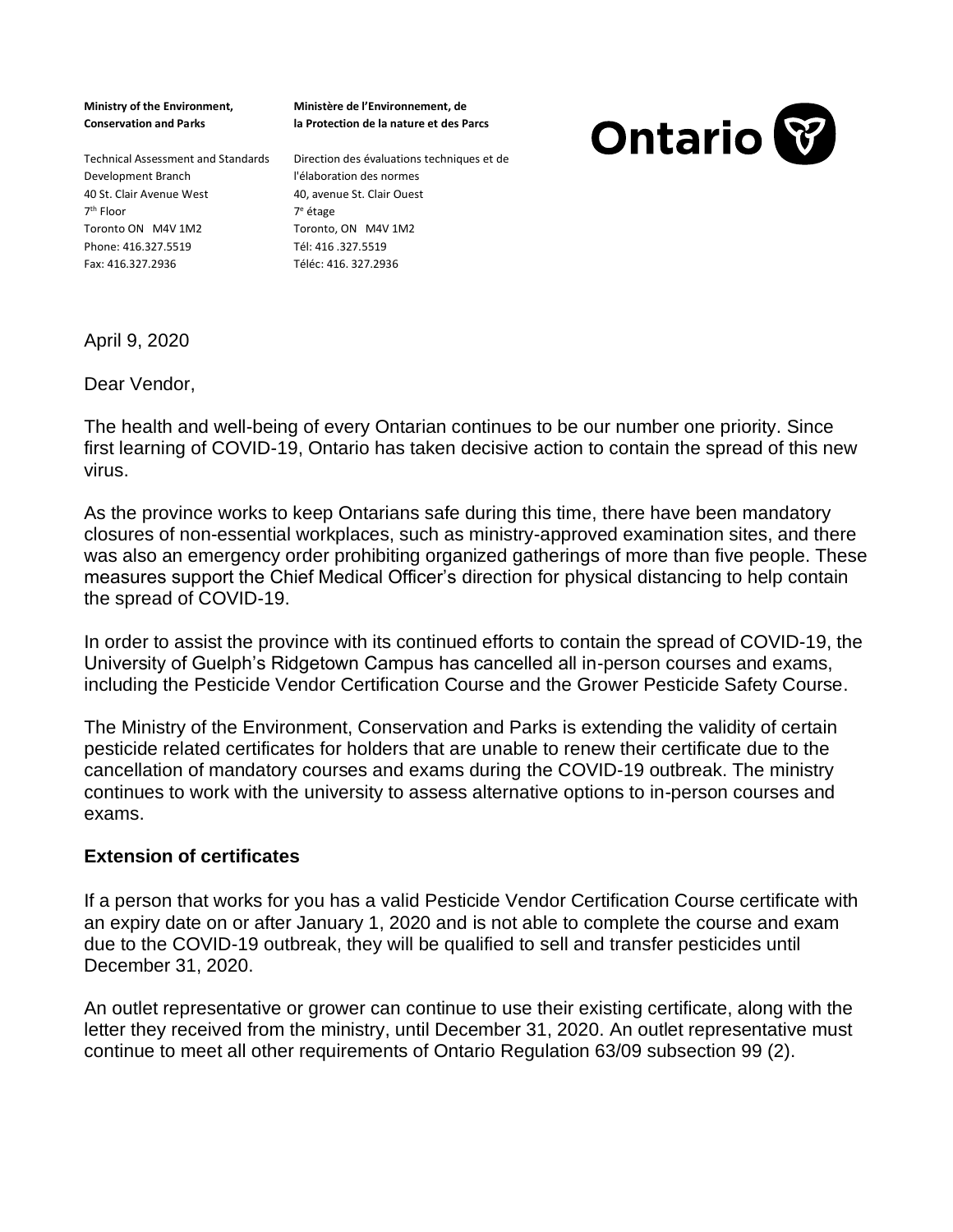**Ministry of the Environment, Conservation and Parks** 

**Ministère de l'Environnement, de la Protection de la nature et des Parcs**



Technical Assessment and Standards Direction des évaluations techniques et de Development Branch 40 St. Clair Avenue West 7 th Floor Toronto ON M4V 1M2 Phone: 416.327.5519 Fax: 416.327.2936

l'élaboration des normes 40, avenue St. Clair Ouest 7 <sup>e</sup> étage Toronto, ON M4V 1M2 Tél: 416 .327.5519 Téléc: 416. 327.2936

April 9, 2020

Dear Vendor,

The health and well-being of every Ontarian continues to be our number one priority. Since first learning of COVID-19, Ontario has taken decisive action to contain the spread of this new virus.

As the province works to keep Ontarians safe during this time, there have been mandatory closures of non-essential workplaces, such as ministry-approved examination sites, and there was also an emergency order prohibiting organized gatherings of more than five people. These measures support the Chief Medical Officer's direction for physical distancing to help contain the spread of COVID-19.

In order to assist the province with its continued efforts to contain the spread of COVID-19, the University of Guelph's Ridgetown Campus has cancelled all in-person courses and exams, including the Pesticide Vendor Certification Course and the Grower Pesticide Safety Course.

The Ministry of the Environment, Conservation and Parks is extending the validity of certain pesticide related certificates for holders that are unable to renew their certificate due to the cancellation of mandatory courses and exams during the COVID-19 outbreak. The ministry continues to work with the university to assess alternative options to in-person courses and exams.

## **Extension of certificates**

If a person that works for you has a valid Pesticide Vendor Certification Course certificate with an expiry date on or after January 1, 2020 and is not able to complete the course and exam due to the COVID-19 outbreak, they will be qualified to sell and transfer pesticides until December 31, 2020.

An outlet representative or grower can continue to use their existing certificate, along with the letter they received from the ministry, until December 31, 2020. An outlet representative must continue to meet all other requirements of Ontario Regulation 63/09 subsection 99 (2).